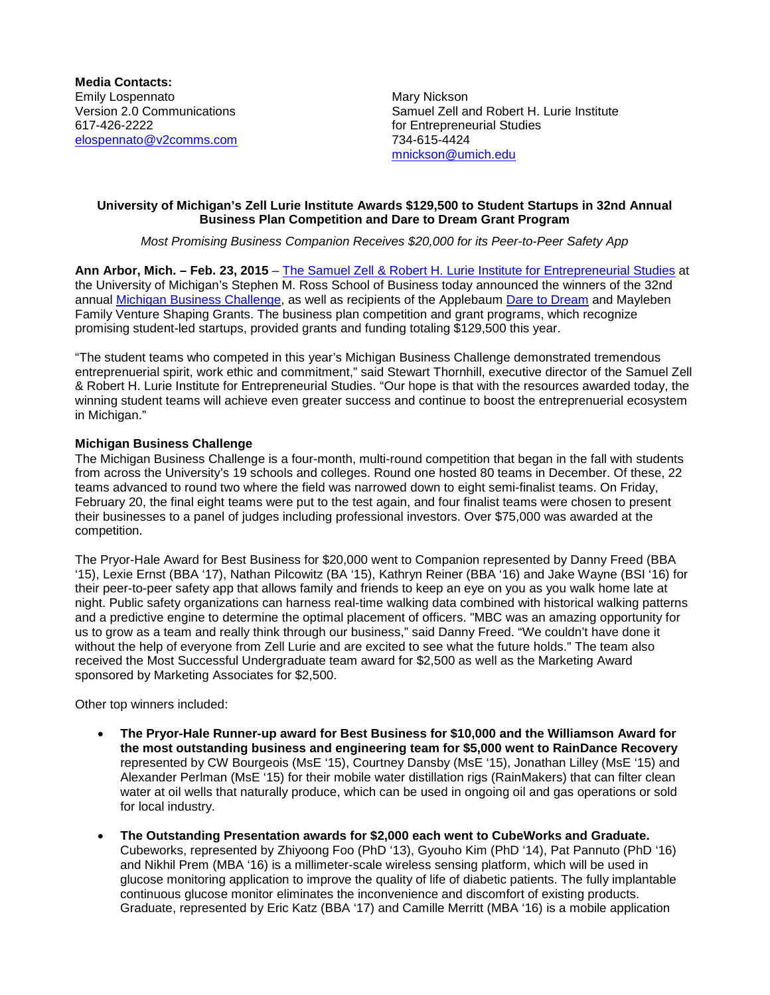**Media Contacts:** Emily Lospennato<br>
Version 2.0 Communications<br>
Version 2.0 Communications<br>
Mary Nickson 617-426-2222 for Entrepreneurial Studies [elospennato@v2comms.com](mailto:elospennato@v2comms.com)

Samuel Zell and Robert H. Lurie Institute [mnickson@umich.edu](mailto:mnickson@umich.edu)

### **University of Michigan's Zell Lurie Institute Awards \$129,500 to Student Startups in 32nd Annual Business Plan Competition and Dare to Dream Grant Program**

*Most Promising Business Companion Receives \$20,000 for its Peer-to-Peer Safety App*

**Ann Arbor, Mich. – Feb. 23, 2015** – [The Samuel Zell & Robert H. Lurie Institute for Entrepreneurial Studies](http://www.zli.bus.umich.edu/index.asp) at the University of Michigan's Stephen M. Ross School of Business today announced the winners of the 32nd annual [Michigan Business Challenge,](http://www.zli.bus.umich.edu/events_programs/busplan_competition.asp) as well as recipients of the Applebaum [Dare to Dream](http://www.zli.bus.umich.edu/events_programs/dream_grant.asp) and Mayleben Family Venture Shaping Grants. The business plan competition and grant programs, which recognize promising student-led startups, provided grants and funding totaling \$129,500 this year.

"The student teams who competed in this year's Michigan Business Challenge demonstrated tremendous entreprenuerial spirit, work ethic and commitment," said Stewart Thornhill, executive director of the Samuel Zell & Robert H. Lurie Institute for Entrepreneurial Studies. "Our hope is that with the resources awarded today, the winning student teams will achieve even greater success and continue to boost the entreprenuerial ecosystem in Michigan."

## **Michigan Business Challenge**

The Michigan Business Challenge is a four-month, multi-round competition that began in the fall with students from across the University's 19 schools and colleges. Round one hosted 80 teams in December. Of these, 22 teams advanced to round two where the field was narrowed down to eight semi-finalist teams. On Friday, February 20, the final eight teams were put to the test again, and four finalist teams were chosen to present their businesses to a panel of judges including professional investors. Over \$75,000 was awarded at the competition.

The Pryor-Hale Award for Best Business for \$20,000 went to Companion represented by Danny Freed (BBA '15), Lexie Ernst (BBA '17), Nathan Pilcowitz (BA '15), Kathryn Reiner (BBA '16) and Jake Wayne (BSI '16) for their peer-to-peer safety app that allows family and friends to keep an eye on you as you walk home late at night. Public safety organizations can harness real-time walking data combined with historical walking patterns and a predictive engine to determine the optimal placement of officers. "MBC was an amazing opportunity for us to grow as a team and really think through our business," said Danny Freed. "We couldn't have done it without the help of everyone from Zell Lurie and are excited to see what the future holds." The team also received the Most Successful Undergraduate team award for \$2,500 as well as the Marketing Award sponsored by Marketing Associates for \$2,500.

Other top winners included:

- **The Pryor-Hale Runner-up award for Best Business for \$10,000 and the Williamson Award for the most outstanding business and engineering team for \$5,000 went to RainDance Recovery**  represented by CW Bourgeois (MsE '15), Courtney Dansby (MsE '15), Jonathan Lilley (MsE '15) and Alexander Perlman (MsE '15) for their mobile water distillation rigs (RainMakers) that can filter clean water at oil wells that naturally produce, which can be used in ongoing oil and gas operations or sold for local industry.
- **The Outstanding Presentation awards for \$2,000 each went to CubeWorks and Graduate.**  Cubeworks, represented by Zhiyoong Foo (PhD '13), Gyouho Kim (PhD '14), Pat Pannuto (PhD '16) and Nikhil Prem (MBA '16) is a millimeter-scale wireless sensing platform, which will be used in glucose monitoring application to improve the quality of life of diabetic patients. The fully implantable continuous glucose monitor eliminates the inconvenience and discomfort of existing products. Graduate, represented by Eric Katz (BBA '17) and Camille Merritt (MBA '16) is a mobile application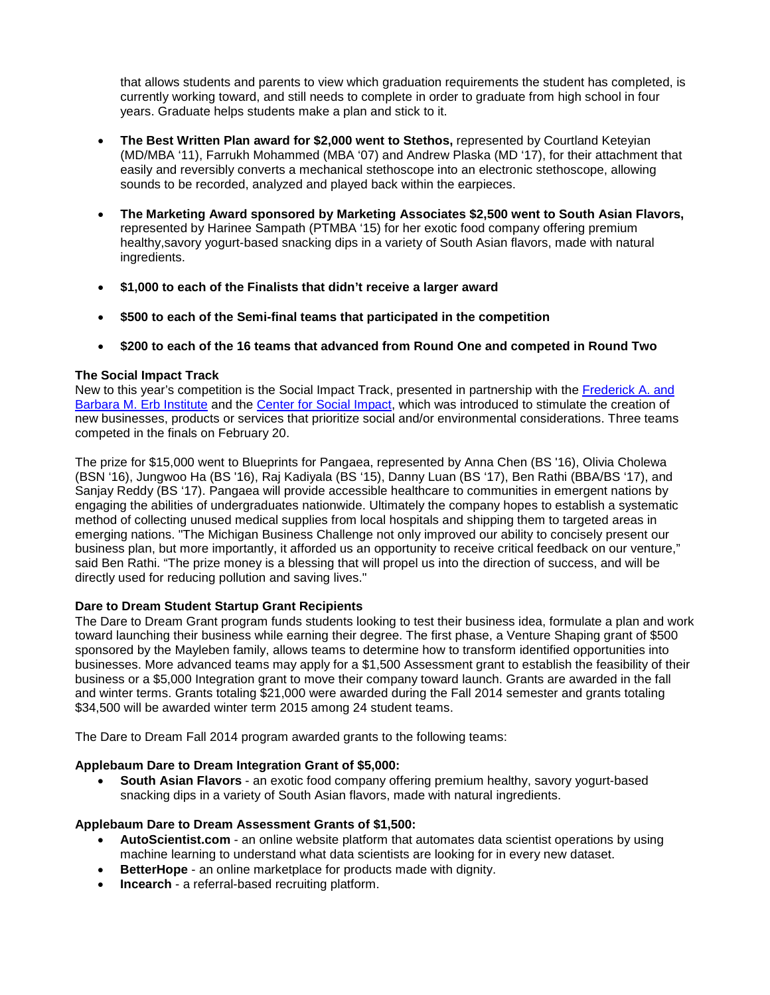that allows students and parents to view which graduation requirements the student has completed, is currently working toward, and still needs to complete in order to graduate from high school in four years. Graduate helps students make a plan and stick to it.

- **The Best Written Plan award for \$2,000 went to Stethos,** represented by Courtland Keteyian (MD/MBA '11), Farrukh Mohammed (MBA '07) and Andrew Plaska (MD '17), for their attachment that easily and reversibly converts a mechanical stethoscope into an electronic stethoscope, allowing sounds to be recorded, analyzed and played back within the earpieces.
- **The Marketing Award sponsored by Marketing Associates \$2,500 went to South Asian Flavors,**  represented by Harinee Sampath (PTMBA '15) for her exotic food company offering premium healthy,savory yogurt-based snacking dips in a variety of South Asian flavors, made with natural ingredients.
- **\$1,000 to each of the Finalists that didn't receive a larger award**
- **\$500 to each of the Semi-final teams that participated in the competition**
- **\$200 to each of the 16 teams that advanced from Round One and competed in Round Two**

#### **The Social Impact Track**

New to this year's competition is the Social Impact Track, presented in partnership with the [Frederick A. and](http://erb.umich.edu/)  [Barbara M. Erb Institute](http://erb.umich.edu/) and the [Center for Social Impact,](http://socialimpact.umich.edu/) which was introduced to stimulate the creation of new businesses, products or services that prioritize social and/or environmental considerations. Three teams competed in the finals on February 20.

The prize for \$15,000 went to Blueprints for Pangaea, represented by Anna Chen (BS '16), Olivia Cholewa (BSN '16), Jungwoo Ha (BS '16), Raj Kadiyala (BS '15), Danny Luan (BS '17), Ben Rathi (BBA/BS '17), and Sanjay Reddy (BS '17). Pangaea will provide accessible healthcare to communities in emergent nations by engaging the abilities of undergraduates nationwide. Ultimately the company hopes to establish a systematic method of collecting unused medical supplies from local hospitals and shipping them to targeted areas in emerging nations. "The Michigan Business Challenge not only improved our ability to concisely present our business plan, but more importantly, it afforded us an opportunity to receive critical feedback on our venture," said Ben Rathi. "The prize money is a blessing that will propel us into the direction of success, and will be directly used for reducing pollution and saving lives."

#### **Dare to Dream Student Startup Grant Recipients**

The Dare to Dream Grant program funds students looking to test their business idea, formulate a plan and work toward launching their business while earning their degree. The first phase, a Venture Shaping grant of \$500 sponsored by the Mayleben family, allows teams to determine how to transform identified opportunities into businesses. More advanced teams may apply for a \$1,500 Assessment grant to establish the feasibility of their business or a \$5,000 Integration grant to move their company toward launch. Grants are awarded in the fall and winter terms. Grants totaling \$21,000 were awarded during the Fall 2014 semester and grants totaling \$34,500 will be awarded winter term 2015 among 24 student teams.

The Dare to Dream Fall 2014 program awarded grants to the following teams:

#### **Applebaum Dare to Dream Integration Grant of \$5,000:**

• **South Asian Flavors** - an exotic food company offering premium healthy, savory yogurt-based snacking dips in a variety of South Asian flavors, made with natural ingredients.

#### **Applebaum Dare to Dream Assessment Grants of \$1,500:**

- **AutoScientist.com** an online website platform that automates data scientist operations by using machine learning to understand what data scientists are looking for in every new dataset.
- **BetterHope** an online marketplace for products made with dignity.
- **Incearch** a referral-based recruiting platform.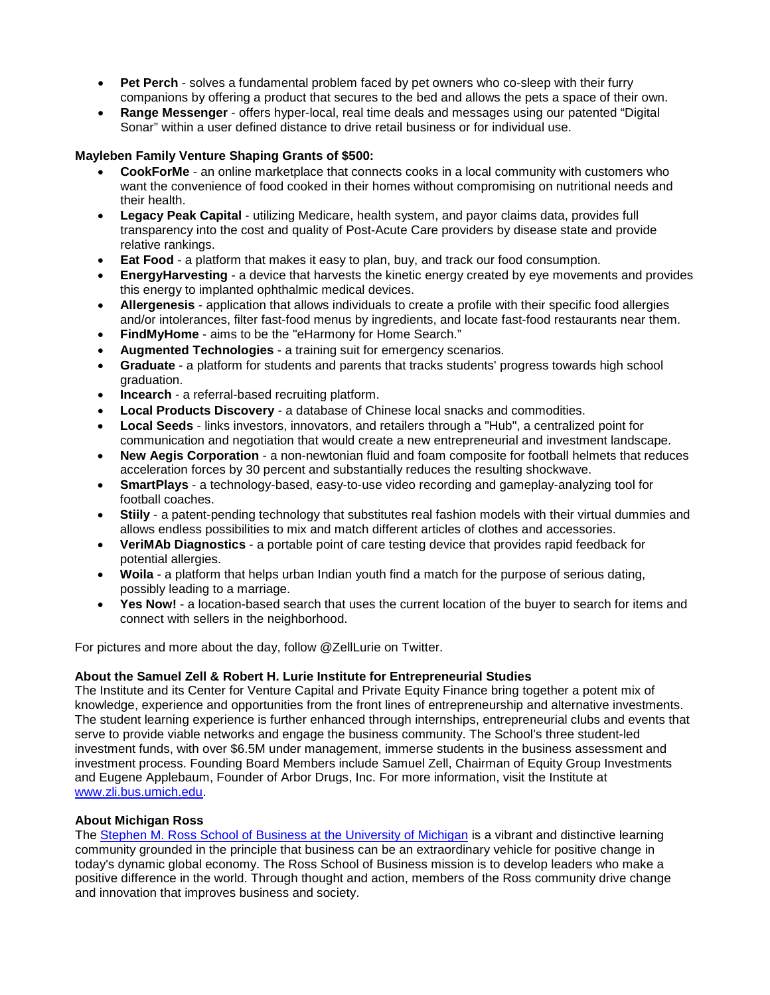- **Pet Perch** solves a fundamental problem faced by pet owners who co-sleep with their furry companions by offering a product that secures to the bed and allows the pets a space of their own.
- **Range Messenger** offers hyper-local, real time deals and messages using our patented "Digital Sonar" within a user defined distance to drive retail business or for individual use.

# **Mayleben Family Venture Shaping Grants of \$500:**

- **CookForMe** an online marketplace that connects cooks in a local community with customers who want the convenience of food cooked in their homes without compromising on nutritional needs and their health.
- **Legacy Peak Capital** utilizing Medicare, health system, and payor claims data, provides full transparency into the cost and quality of Post-Acute Care providers by disease state and provide relative rankings.
- **Eat Food** a platform that makes it easy to plan, buy, and track our food consumption.
- **EnergyHarvesting** a device that harvests the kinetic energy created by eye movements and provides this energy to implanted ophthalmic medical devices.
- **Allergenesis** application that allows individuals to create a profile with their specific food allergies and/or intolerances, filter fast-food menus by ingredients, and locate fast-food restaurants near them.
- **FindMyHome** aims to be the "eHarmony for Home Search."
- **Augmented Technologies** a training suit for emergency scenarios.
- **Graduate** a platform for students and parents that tracks students' progress towards high school graduation.
- **Incearch** a referral-based recruiting platform.
- **Local Products Discovery** a database of Chinese local snacks and commodities.
- **Local Seeds** links investors, innovators, and retailers through a "Hub", a centralized point for communication and negotiation that would create a new entrepreneurial and investment landscape.
- **New Aegis Corporation** a non-newtonian fluid and foam composite for football helmets that reduces acceleration forces by 30 percent and substantially reduces the resulting shockwave.
- **SmartPlays** a technology-based, easy-to-use video recording and gameplay-analyzing tool for football coaches.
- **Stiily** a patent-pending technology that substitutes real fashion models with their virtual dummies and allows endless possibilities to mix and match different articles of clothes and accessories.
- **VeriMAb Diagnostics** a portable point of care testing device that provides rapid feedback for potential allergies.
- **Woila** a platform that helps urban Indian youth find a match for the purpose of serious dating, possibly leading to a marriage.
- **Yes Now!** a location-based search that uses the current location of the buyer to search for items and connect with sellers in the neighborhood.

For pictures and more about the day, follow @ZellLurie on Twitter.

#### **About the Samuel Zell & Robert H. Lurie Institute for Entrepreneurial Studies**

The Institute and its Center for Venture Capital and Private Equity Finance bring together a potent mix of knowledge, experience and opportunities from the front lines of entrepreneurship and alternative investments. The student learning experience is further enhanced through internships, entrepreneurial clubs and events that serve to provide viable networks and engage the business community. The School's three student-led investment funds, with over \$6.5M under management, immerse students in the business assessment and investment process. Founding Board Members include Samuel Zell, Chairman of Equity Group Investments and Eugene Applebaum, Founder of Arbor Drugs, Inc. For more information, visit the Institute at [www.zli.bus.umich.edu.](http://www.zli.bus.umich.edu/)

#### **About Michigan Ross**

The [Stephen M. Ross School of Business at the University of Michigan](http://www.michiganross.umich.edu/) is a vibrant and distinctive learning community grounded in the principle that business can be an extraordinary vehicle for positive change in today's dynamic global economy. The Ross School of Business mission is to develop leaders who make a positive difference in the world. Through thought and action, members of the Ross community drive change and innovation that improves business and society.